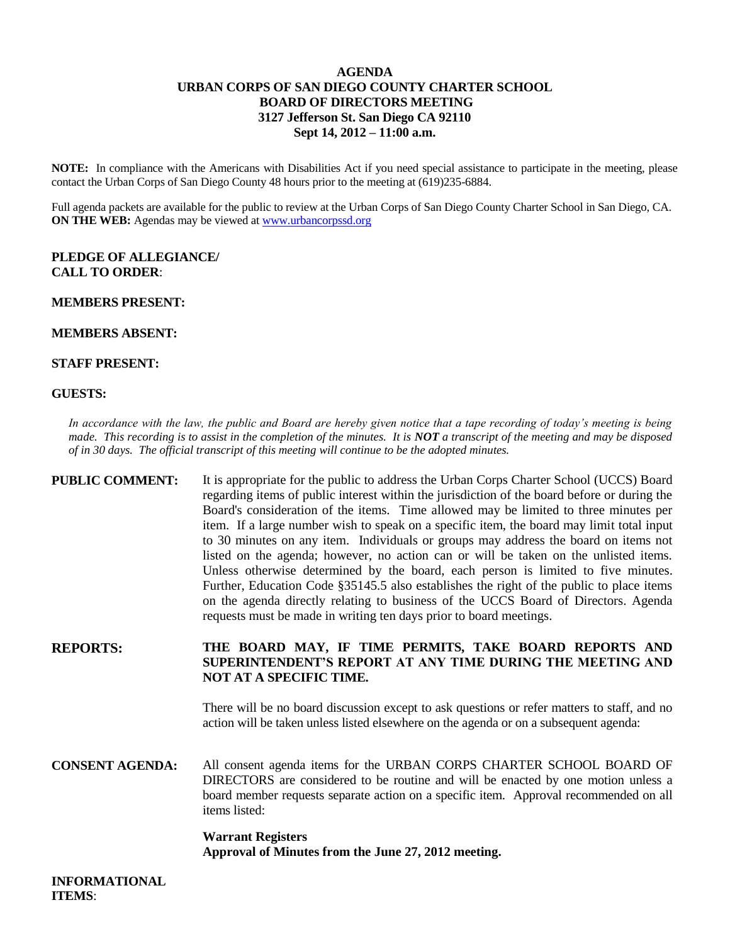## **AGENDA URBAN CORPS OF SAN DIEGO COUNTY CHARTER SCHOOL BOARD OF DIRECTORS MEETING 3127 Jefferson St. San Diego CA 92110 Sept 14, 2012 – 11:00 a.m.**

**NOTE:** In compliance with the Americans with Disabilities Act if you need special assistance to participate in the meeting, please contact the Urban Corps of San Diego County 48 hours prior to the meeting at (619)235-6884.

Full agenda packets are available for the public to review at the Urban Corps of San Diego County Charter School in San Diego, CA. **ON THE WEB:** Agendas may be viewed at [www.urbancorpssd.org](http://www.urbancorpssd.org/)

## **PLEDGE OF ALLEGIANCE/ CALL TO ORDER**:

### **MEMBERS PRESENT:**

### **MEMBERS ABSENT:**

### **STAFF PRESENT:**

## **GUESTS:**

*In accordance with the law, the public and Board are hereby given notice that a tape recording of today's meeting is being made. This recording is to assist in the completion of the minutes. It is NOT a transcript of the meeting and may be disposed of in 30 days. The official transcript of this meeting will continue to be the adopted minutes.*

# **PUBLIC COMMENT:** It is appropriate for the public to address the Urban Corps Charter School (UCCS) Board regarding items of public interest within the jurisdiction of the board before or during the Board's consideration of the items. Time allowed may be limited to three minutes per item. If a large number wish to speak on a specific item, the board may limit total input to 30 minutes on any item. Individuals or groups may address the board on items not listed on the agenda; however, no action can or will be taken on the unlisted items. Unless otherwise determined by the board, each person is limited to five minutes. Further, Education Code §35145.5 also establishes the right of the public to place items on the agenda directly relating to business of the UCCS Board of Directors. Agenda requests must be made in writing ten days prior to board meetings.

# **REPORTS: THE BOARD MAY, IF TIME PERMITS, TAKE BOARD REPORTS AND SUPERINTENDENT'S REPORT AT ANY TIME DURING THE MEETING AND NOT AT A SPECIFIC TIME.**

There will be no board discussion except to ask questions or refer matters to staff, and no action will be taken unless listed elsewhere on the agenda or on a subsequent agenda:

**CONSENT AGENDA:** All consent agenda items for the URBAN CORPS CHARTER SCHOOL BOARD OF DIRECTORS are considered to be routine and will be enacted by one motion unless a board member requests separate action on a specific item. Approval recommended on all items listed:

# **Warrant Registers Approval of Minutes from the June 27, 2012 meeting.**